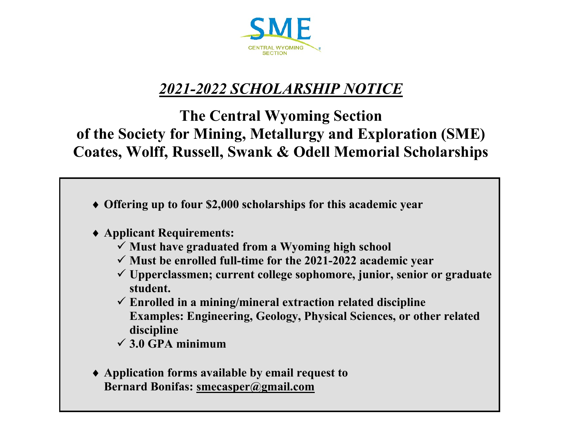

# *2021-2022 SCHOLARSHIP NOTICE*

## **The Central Wyoming Section of the Society for Mining, Metallurgy and Exploration (SME) Coates, Wolff, Russell, Swank & Odell Memorial Scholarships**

- ♦ **Offering up to four \$2,000 scholarships for this academic year**
- ♦ **Applicant Requirements:**
	- **Must have graduated from a Wyoming high school**
	- **Must be enrolled full-time for the 2021-2022 academic year**
	- **Upperclassmen; current college sophomore, junior, senior or graduate student.**
	- **Enrolled in a mining/mineral extraction related discipline Examples: Engineering, Geology, Physical Sciences, or other related discipline**
	- **3.0 GPA minimum**

♦ **Application forms available by email request to Bernard Bonifas: smecasper@gmail.com**